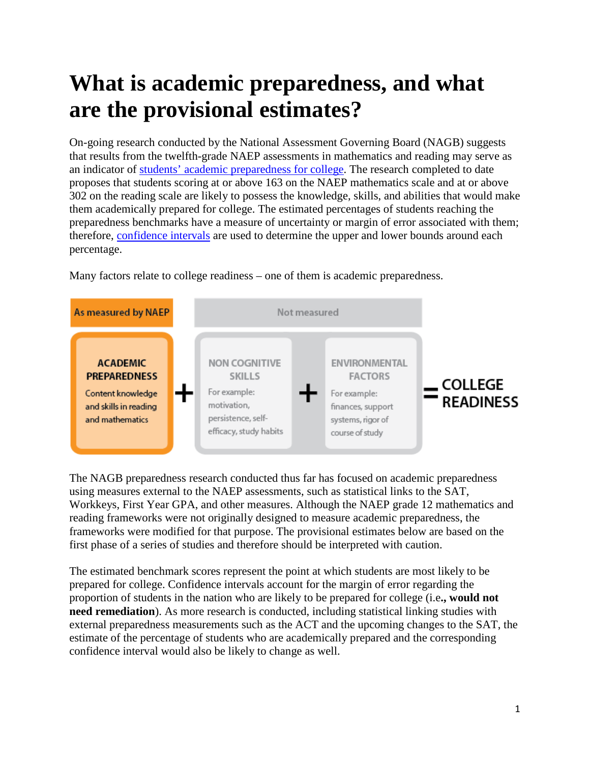# **What is academic preparedness, and what are the provisional estimates?**

On-going research conducted by the National Assessment Governing Board (NAGB) suggests that results from the twelfth-grade NAEP assessments in mathematics and reading may serve as an indicator of [students' academic preparedness for college.](https://nrcpreview3.naepims.org/reading_math_g12_2013/partials/preparedness_popup.html) The research completed to date proposes that students scoring at or above 163 on the NAEP mathematics scale and at or above 302 on the reading scale are likely to possess the knowledge, skills, and abilities that would make them academically prepared for college. The estimated percentages of students reaching the preparedness benchmarks have a measure of uncertainty or margin of error associated with them; therefore, [confidence intervals](https://nrcpreview3.naepims.org/reading_math_g12_2013/partials/confidence_popup.html) are used to determine the upper and lower bounds around each percentage.



Many factors relate to college readiness – one of them is academic preparedness.

The NAGB preparedness research conducted thus far has focused on academic preparedness using measures external to the NAEP assessments, such as statistical links to the SAT, Workkeys, First Year GPA, and other measures. Although the NAEP grade 12 mathematics and reading frameworks were not originally designed to measure academic preparedness, the frameworks were modified for that purpose. The provisional estimates below are based on the first phase of a series of studies and therefore should be interpreted with caution.

The estimated benchmark scores represent the point at which students are most likely to be prepared for college. Confidence intervals account for the margin of error regarding the proportion of students in the nation who are likely to be prepared for college (i.e**., would not need remediation**). As more research is conducted, including statistical linking studies with external preparedness measurements such as the ACT and the upcoming changes to the SAT, the estimate of the percentage of students who are academically prepared and the corresponding confidence interval would also be likely to change as well.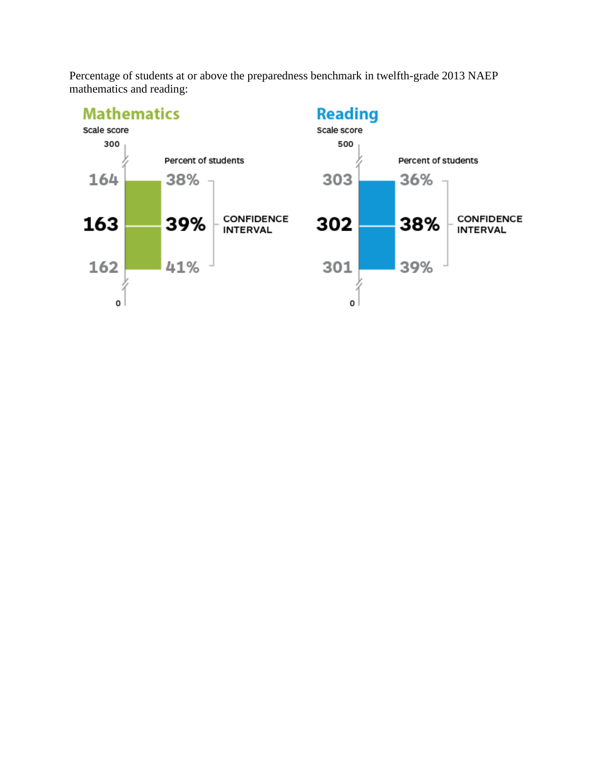

Percentage of students at or above the preparedness benchmark in twelfth-grade 2013 NAEP mathematics and reading: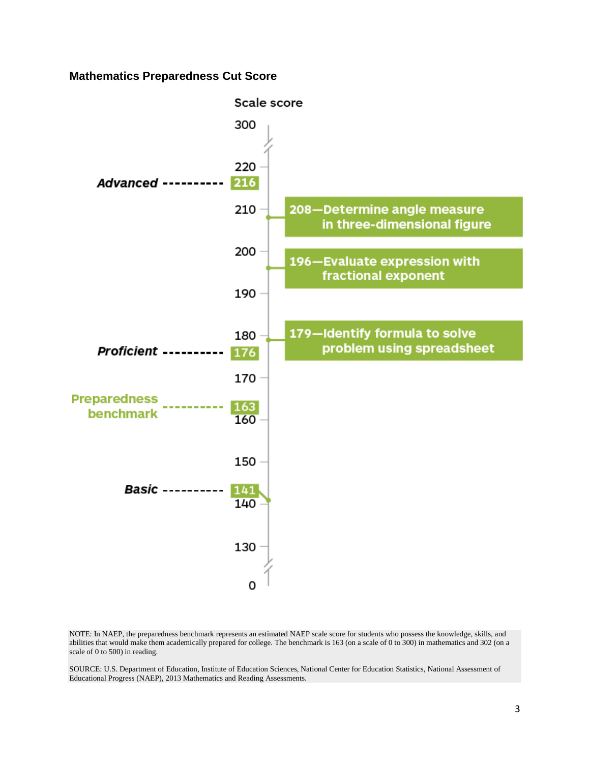#### **Mathematics Preparedness Cut Score**



NOTE: In NAEP, the preparedness benchmark represents an estimated NAEP scale score for students who possess the knowledge, skills, and abilities that would make them academically prepared for college. The benchmark is 163 (on a scale of 0 to 300) in mathematics and 302 (on a scale of 0 to 500) in reading.

SOURCE: U.S. Department of Education, Institute of Education Sciences, National Center for Education Statistics, National Assessment of Educational Progress (NAEP), 2013 Mathematics and Reading Assessments.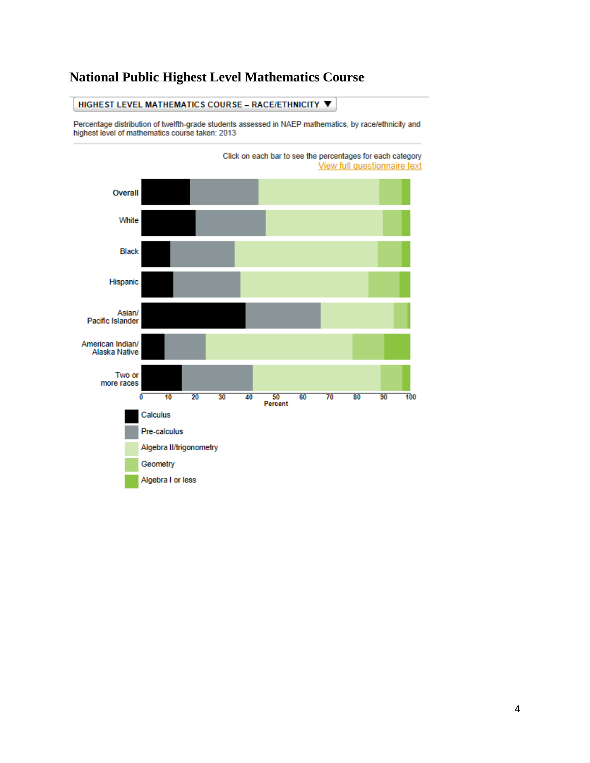

#### HIGHEST LEVEL MATHEMATICS COURSE - RACE/ETHNICITY ▼

Percentage distribution of twelfth-grade students assessed in NAEP mathematics, by race/ethnicity and highest level of mathematics course taken: 2013

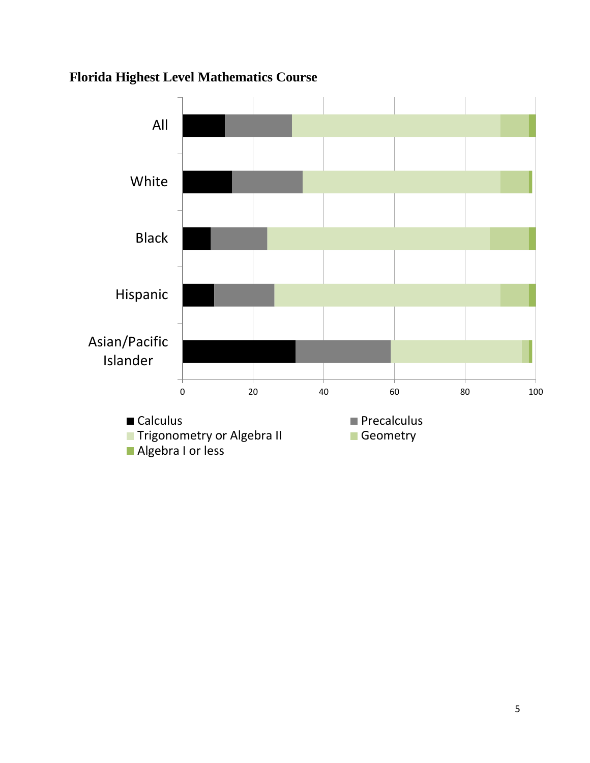### **Florida Highest Level Mathematics Course**

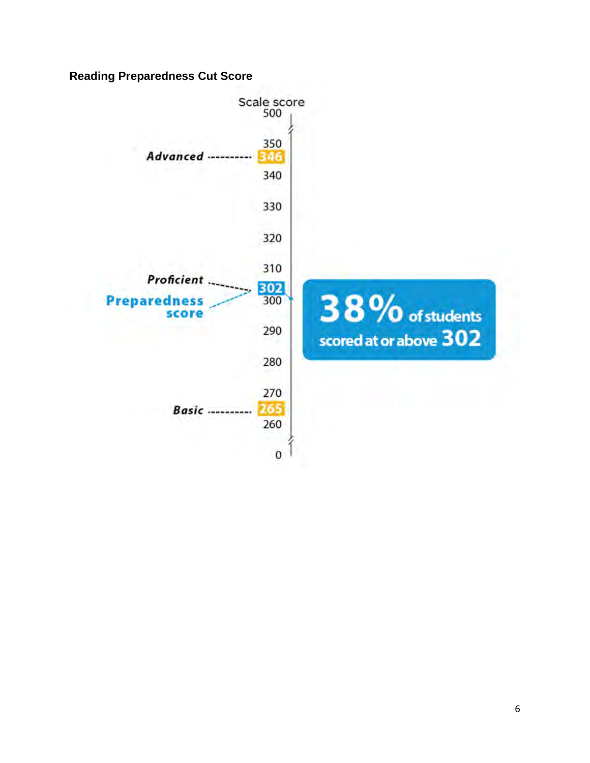**Reading Preparedness Cut Score**

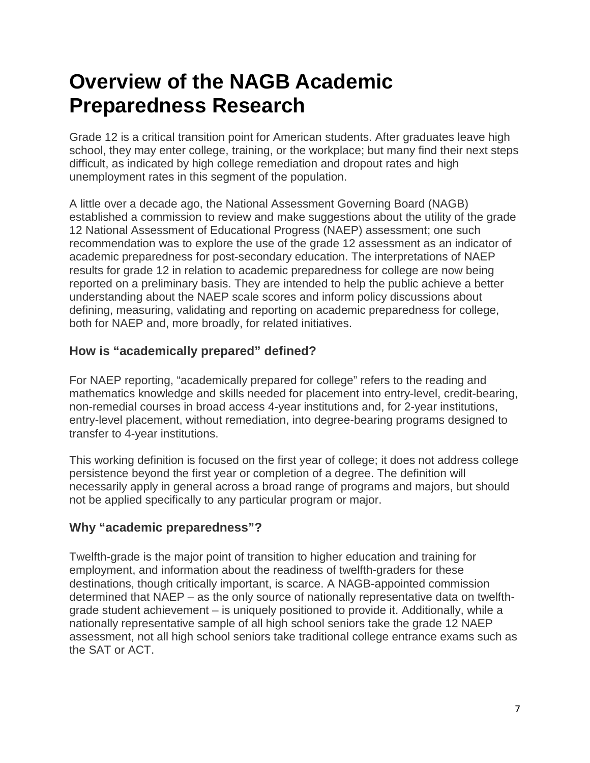## **Overview of the NAGB Academic Preparedness Research**

Grade 12 is a critical transition point for American students. After graduates leave high school, they may enter college, training, or the workplace; but many find their next steps difficult, as indicated by high college remediation and dropout rates and high unemployment rates in this segment of the population.

A little over a decade ago, the National Assessment Governing Board (NAGB) established a commission to review and make suggestions about the utility of the grade 12 National Assessment of Educational Progress (NAEP) assessment; one such recommendation was to explore the use of the grade 12 assessment as an indicator of academic preparedness for post-secondary education. The interpretations of NAEP results for grade 12 in relation to academic preparedness for college are now being reported on a preliminary basis. They are intended to help the public achieve a better understanding about the NAEP scale scores and inform policy discussions about defining, measuring, validating and reporting on academic preparedness for college, both for NAEP and, more broadly, for related initiatives.

#### **How is "academically prepared" defined?**

For NAEP reporting, "academically prepared for college" refers to the reading and mathematics knowledge and skills needed for placement into entry-level, credit-bearing, non-remedial courses in broad access 4-year institutions and, for 2-year institutions, entry-level placement, without remediation, into degree-bearing programs designed to transfer to 4-year institutions.

This working definition is focused on the first year of college; it does not address college persistence beyond the first year or completion of a degree. The definition will necessarily apply in general across a broad range of programs and majors, but should not be applied specifically to any particular program or major.

#### **Why "academic preparedness"?**

Twelfth-grade is the major point of transition to higher education and training for employment, and information about the readiness of twelfth-graders for these destinations, though critically important, is scarce. A NAGB-appointed commission determined that NAEP – as the only source of nationally representative data on twelfthgrade student achievement – is uniquely positioned to provide it. Additionally, while a nationally representative sample of all high school seniors take the grade 12 NAEP assessment, not all high school seniors take traditional college entrance exams such as the SAT or ACT.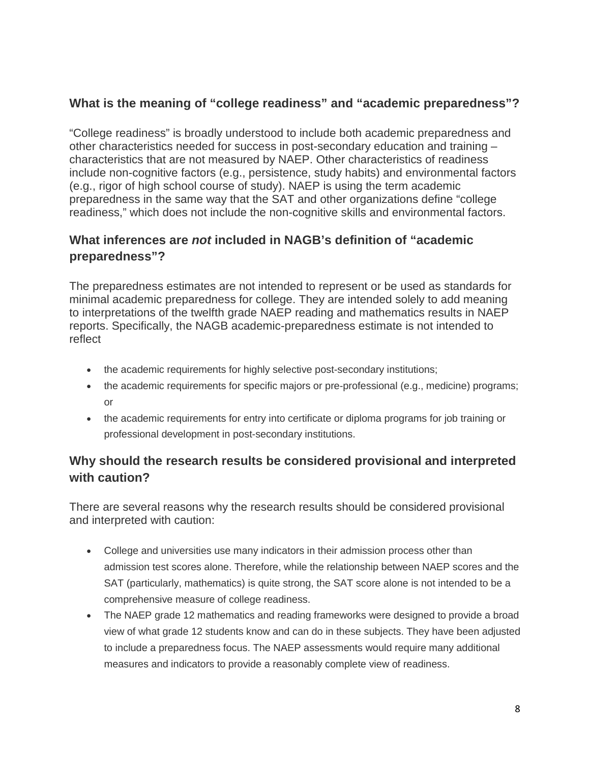#### **What is the meaning of "college readiness" and "academic preparedness"?**

"College readiness" is broadly understood to include both academic preparedness and other characteristics needed for success in post-secondary education and training – characteristics that are not measured by NAEP. Other characteristics of readiness include non-cognitive factors (e.g., persistence, study habits) and environmental factors (e.g., rigor of high school course of study). NAEP is using the term academic preparedness in the same way that the SAT and other organizations define "college readiness," which does not include the non-cognitive skills and environmental factors.

#### **What inferences are** *not* **included in NAGB's definition of "academic preparedness"?**

The preparedness estimates are not intended to represent or be used as standards for minimal academic preparedness for college. They are intended solely to add meaning to interpretations of the twelfth grade NAEP reading and mathematics results in NAEP reports. Specifically, the NAGB academic-preparedness estimate is not intended to reflect

- the academic requirements for highly selective post-secondary institutions;
- the academic requirements for specific majors or pre-professional (e.g., medicine) programs; or
- the academic requirements for entry into certificate or diploma programs for job training or professional development in post-secondary institutions.

#### **Why should the research results be considered provisional and interpreted with caution?**

There are several reasons why the research results should be considered provisional and interpreted with caution:

- College and universities use many indicators in their admission process other than admission test scores alone. Therefore, while the relationship between NAEP scores and the SAT (particularly, mathematics) is quite strong, the SAT score alone is not intended to be a comprehensive measure of college readiness.
- The NAEP grade 12 mathematics and reading frameworks were designed to provide a broad view of what grade 12 students know and can do in these subjects. They have been adjusted to include a preparedness focus. The NAEP assessments would require many additional measures and indicators to provide a reasonably complete view of readiness.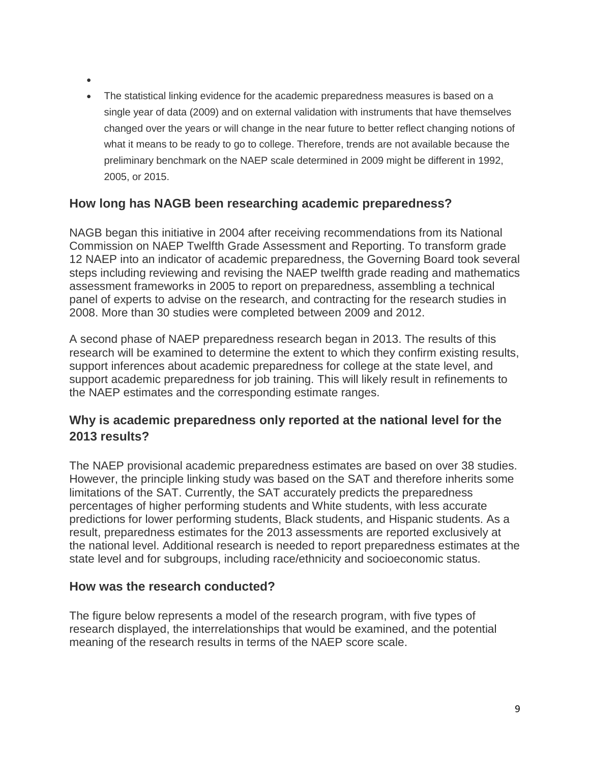- •
- The statistical linking evidence for the academic preparedness measures is based on a single year of data (2009) and on external validation with instruments that have themselves changed over the years or will change in the near future to better reflect changing notions of what it means to be ready to go to college. Therefore, trends are not available because the preliminary benchmark on the NAEP scale determined in 2009 might be different in 1992, 2005, or 2015.

#### **How long has NAGB been researching academic preparedness?**

NAGB began this initiative in 2004 after receiving recommendations from its National Commission on NAEP Twelfth Grade Assessment and Reporting. To transform grade 12 NAEP into an indicator of academic preparedness, the Governing Board took several steps including reviewing and revising the NAEP twelfth grade reading and mathematics assessment frameworks in 2005 to report on preparedness, assembling a technical panel of experts to advise on the research, and contracting for the research studies in 2008. More than 30 studies were completed between 2009 and 2012.

A second phase of NAEP preparedness research began in 2013. The results of this research will be examined to determine the extent to which they confirm existing results, support inferences about academic preparedness for college at the state level, and support academic preparedness for job training. This will likely result in refinements to the NAEP estimates and the corresponding estimate ranges.

#### **Why is academic preparedness only reported at the national level for the 2013 results?**

The NAEP provisional academic preparedness estimates are based on over 38 studies. However, the principle linking study was based on the SAT and therefore inherits some limitations of the SAT. Currently, the SAT accurately predicts the preparedness percentages of higher performing students and White students, with less accurate predictions for lower performing students, Black students, and Hispanic students. As a result, preparedness estimates for the 2013 assessments are reported exclusively at the national level. Additional research is needed to report preparedness estimates at the state level and for subgroups, including race/ethnicity and socioeconomic status.

#### **How was the research conducted?**

The figure below represents a model of the research program, with five types of research displayed, the interrelationships that would be examined, and the potential meaning of the research results in terms of the NAEP score scale.